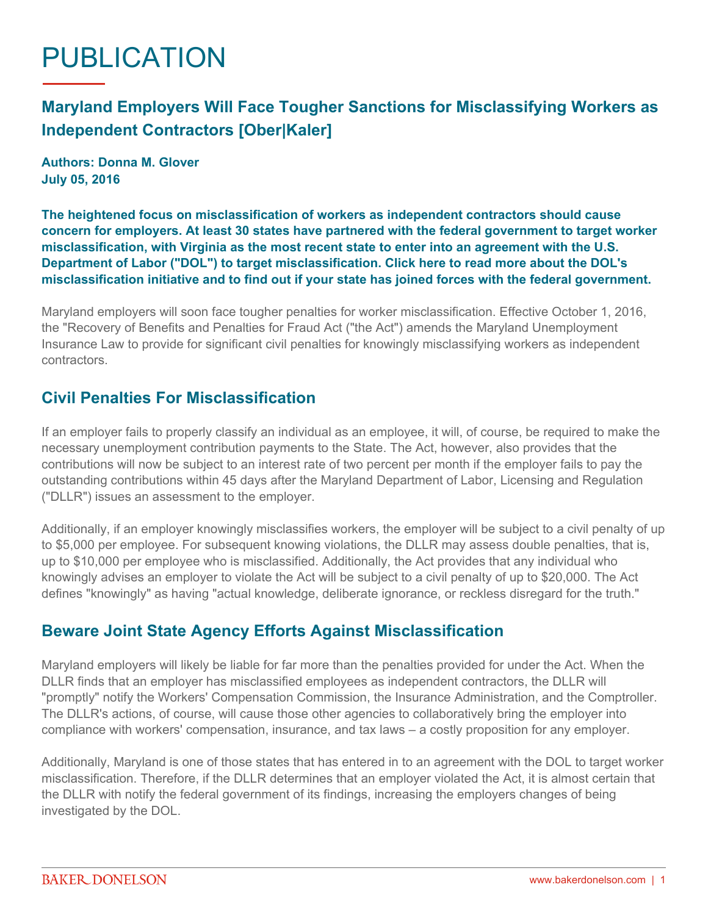# PUBLICATION

## **Maryland Employers Will Face Tougher Sanctions for Misclassifying Workers as Independent Contractors [Ober|Kaler]**

**Authors: Donna M. Glover July 05, 2016**

**The heightened focus on misclassification of workers as independent contractors should cause concern for employers. At least 30 states have partnered with the federal government to target worker misclassification, with Virginia as the most recent state to enter into an agreement with the U.S. Department of Labor ("DOL") to target misclassification. [Click here](https://www.dol.gov/whd/workers/misclassification/) to read more about the DOL's misclassification initiative and to find out if your state has joined forces with the federal government.**

Maryland employers will soon face tougher penalties for worker misclassification. Effective October 1, 2016, the "Recovery of Benefits and Penalties for Fraud Act ("the Act") amends the Maryland Unemployment Insurance Law to provide for significant civil penalties for knowingly misclassifying workers as independent contractors.

#### **Civil Penalties For Misclassification**

If an employer fails to properly classify an individual as an employee, it will, of course, be required to make the necessary unemployment contribution payments to the State. The Act, however, also provides that the contributions will now be subject to an interest rate of two percent per month if the employer fails to pay the outstanding contributions within 45 days after the Maryland Department of Labor, Licensing and Regulation ("DLLR") issues an assessment to the employer.

Additionally, if an employer knowingly misclassifies workers, the employer will be subject to a civil penalty of up to \$5,000 per employee. For subsequent knowing violations, the DLLR may assess double penalties, that is, up to \$10,000 per employee who is misclassified. Additionally, the Act provides that any individual who knowingly advises an employer to violate the Act will be subject to a civil penalty of up to \$20,000. The Act defines "knowingly" as having "actual knowledge, deliberate ignorance, or reckless disregard for the truth."

#### **Beware Joint State Agency Efforts Against Misclassification**

Maryland employers will likely be liable for far more than the penalties provided for under the Act. When the DLLR finds that an employer has misclassified employees as independent contractors, the DLLR will "promptly" notify the Workers' Compensation Commission, the Insurance Administration, and the Comptroller. The DLLR's actions, of course, will cause those other agencies to collaboratively bring the employer into compliance with workers' compensation, insurance, and tax laws – a costly proposition for any employer.

Additionally, Maryland is one of those states that has entered in to an agreement with the DOL to target worker misclassification. Therefore, if the DLLR determines that an employer violated the Act, it is almost certain that the DLLR with notify the federal government of its findings, increasing the employers changes of being investigated by the DOL.